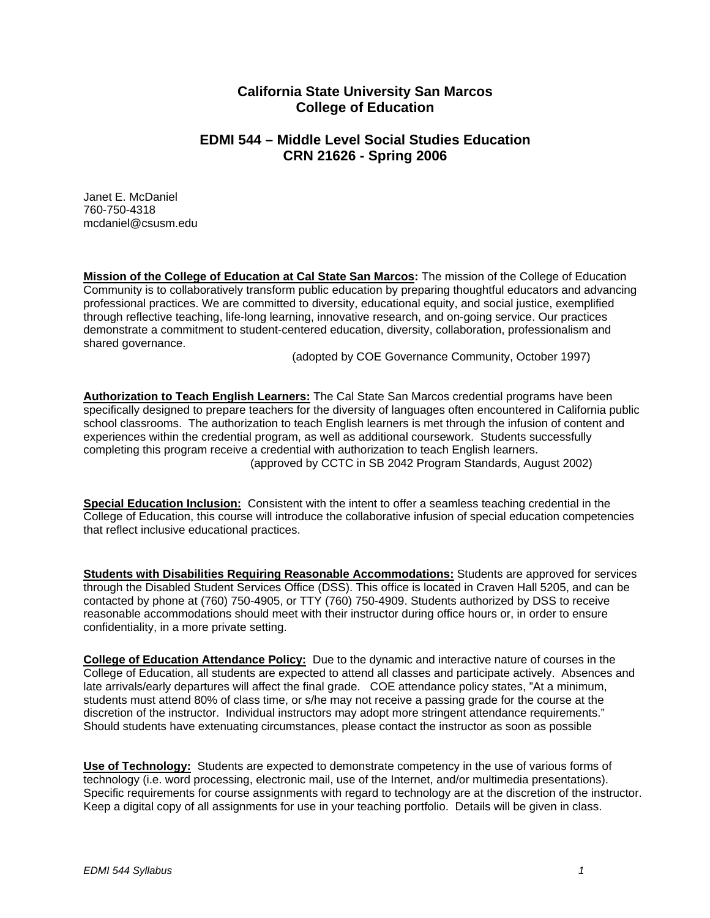# **California State University San Marcos College of Education**

# **EDMI 544 – Middle Level Social Studies Education CRN 21626 - Spring 2006**

Janet E. McDaniel 760-750-4318 mcdaniel@csusm.edu

**Mission of the College of Education at Cal State San Marcos:** The mission of the College of Education Community is to collaboratively transform public education by preparing thoughtful educators and advancing professional practices. We are committed to diversity, educational equity, and social justice, exemplified through reflective teaching, life-long learning, innovative research, and on-going service. Our practices demonstrate a commitment to student-centered education, diversity, collaboration, professionalism and shared governance.

(adopted by COE Governance Community, October 1997)

**Authorization to Teach English Learners:** The Cal State San Marcos credential programs have been specifically designed to prepare teachers for the diversity of languages often encountered in California public school classrooms. The authorization to teach English learners is met through the infusion of content and experiences within the credential program, as well as additional coursework. Students successfully completing this program receive a credential with authorization to teach English learners. (approved by CCTC in SB 2042 Program Standards, August 2002)

**Special Education Inclusion:** Consistent with the intent to offer a seamless teaching credential in the College of Education, this course will introduce the collaborative infusion of special education competencies that reflect inclusive educational practices.

**Students with Disabilities Requiring Reasonable Accommodations:** Students are approved for services through the Disabled Student Services Office (DSS). This office is located in Craven Hall 5205, and can be contacted by phone at (760) 750-4905, or TTY (760) 750-4909. Students authorized by DSS to receive reasonable accommodations should meet with their instructor during office hours or, in order to ensure confidentiality, in a more private setting.

**College of Education Attendance Policy:** Due to the dynamic and interactive nature of courses in the College of Education, all students are expected to attend all classes and participate actively. Absences and late arrivals/early departures will affect the final grade. COE attendance policy states, "At a minimum, students must attend 80% of class time, or s/he may not receive a passing grade for the course at the discretion of the instructor. Individual instructors may adopt more stringent attendance requirements." Should students have extenuating circumstances, please contact the instructor as soon as possible

**Use of Technology:** Students are expected to demonstrate competency in the use of various forms of technology (i.e. word processing, electronic mail, use of the Internet, and/or multimedia presentations). Specific requirements for course assignments with regard to technology are at the discretion of the instructor. Keep a digital copy of all assignments for use in your teaching portfolio. Details will be given in class.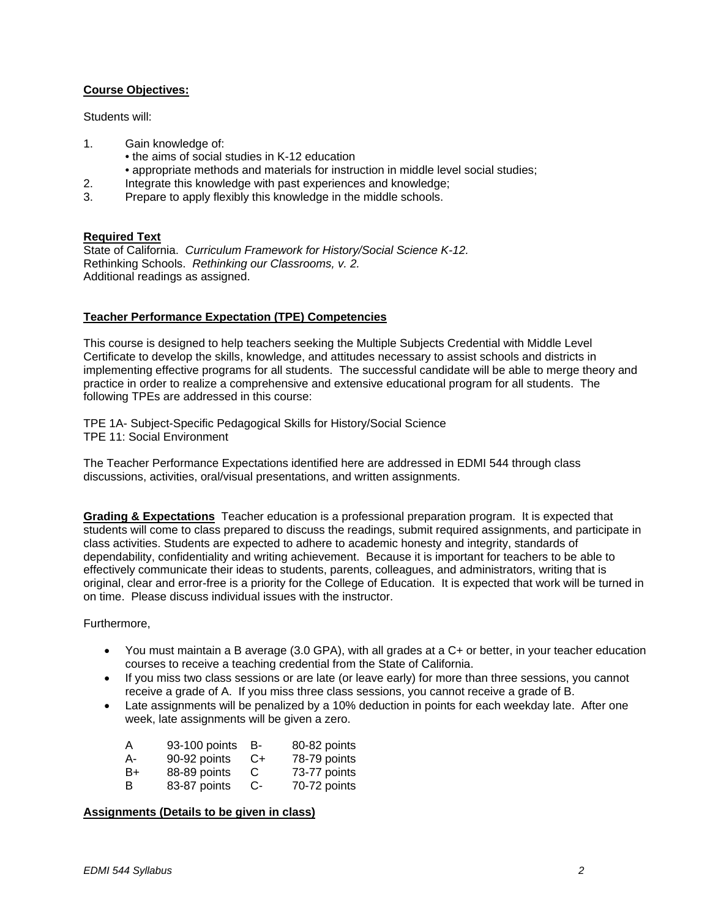### **Course Objectives:**

Students will:

- 1. Gain knowledge of:
	- the aims of social studies in K-12 education
	- appropriate methods and materials for instruction in middle level social studies;
- 2. Integrate this knowledge with past experiences and knowledge;
- 3. Prepare to apply flexibly this knowledge in the middle schools.

#### **Required Text**

State of California. *Curriculum Framework for History/Social Science K-12.*  Rethinking Schools. *Rethinking our Classrooms, v. 2.* Additional readings as assigned.

#### **Teacher Performance Expectation (TPE) Competencies**

This course is designed to help teachers seeking the Multiple Subjects Credential with Middle Level Certificate to develop the skills, knowledge, and attitudes necessary to assist schools and districts in implementing effective programs for all students. The successful candidate will be able to merge theory and practice in order to realize a comprehensive and extensive educational program for all students. The following TPEs are addressed in this course:

TPE 1A- Subject-Specific Pedagogical Skills for History/Social Science TPE 11: Social Environment

The Teacher Performance Expectations identified here are addressed in EDMI 544 through class discussions, activities, oral/visual presentations, and written assignments.

**Grading & Expectations** Teacher education is a professional preparation program. It is expected that students will come to class prepared to discuss the readings, submit required assignments, and participate in class activities. Students are expected to adhere to academic honesty and integrity, standards of dependability, confidentiality and writing achievement. Because it is important for teachers to be able to effectively communicate their ideas to students, parents, colleagues, and administrators, writing that is original, clear and error-free is a priority for the College of Education. It is expected that work will be turned in on time. Please discuss individual issues with the instructor.

#### Furthermore,

- You must maintain a B average (3.0 GPA), with all grades at a C+ or better, in your teacher education courses to receive a teaching credential from the State of California.
- If you miss two class sessions or are late (or leave early) for more than three sessions, you cannot receive a grade of A. If you miss three class sessions, you cannot receive a grade of B.
- Late assignments will be penalized by a 10% deduction in points for each weekday late. After one week, late assignments will be given a zero.

| А  | 93-100 points | в- | 80-82 points |
|----|---------------|----|--------------|
| А- | 90-92 points  | C+ | 78-79 points |
| B+ | 88-89 points  | C  | 73-77 points |
| В  | 83-87 points  | C- | 70-72 points |

### **Assignments (Details to be given in class)**